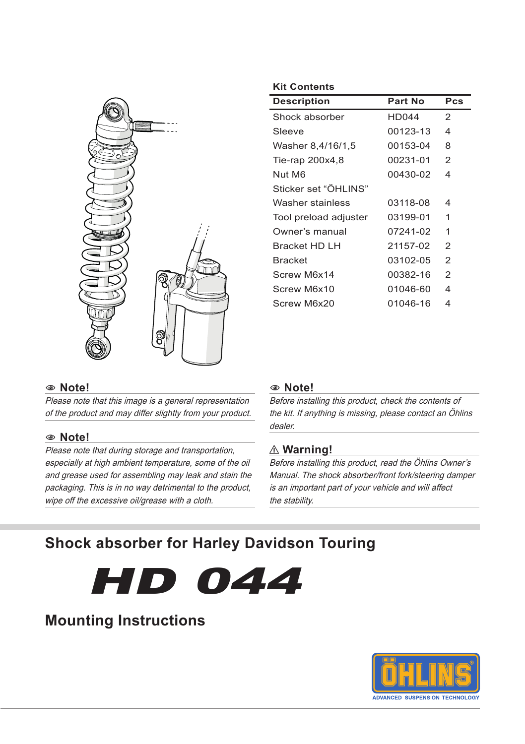

#### 1 **Note!**

Please note that this image is a general representation of the product and may differ slightly from your product.

#### 1 **Note!**

Please note that during storage and transportation, especially at high ambient temperature, some of the oil and grease used for assembling may leak and stain the packaging. This is in no way detrimental to the product, wipe off the excessive oil/grease with a cloth.

#### **Kit Contents**

| <b>Description</b>    | Part No      | Pcs            |
|-----------------------|--------------|----------------|
| Shock absorber        | <b>HD044</b> | 2              |
| Sleeve                | 00123-13     | 4              |
| Washer 8,4/16/1,5     | 00153-04     | 8              |
| Tie-rap 200x4,8       | 00231-01     | 2              |
| Nut M6                | 00430-02     | 4              |
| Sticker set "ÖHLINS"  |              |                |
| Washer stainless      | 03118-08     | 4              |
| Tool preload adjuster | 03199-01     | 1              |
| Owner's manual        | 07241-02     | 1              |
| Bracket HD LH         | 21157-02     | $\overline{2}$ |
| <b>Bracket</b>        | 03102-05     | 2              |
| Screw M6x14           | 00382-16     | 2              |
| Screw M6x10           | 01046-60     | 4              |
| Screw M6x20           | 01046-16     | 4              |

#### 1 **Note!**

Before installing this product, check the contents of the kit. If anything is missing, please contact an Öhlins dealer.

#### ⚠ **Warning!**

Before installing this product, read the Öhlins Owner's Manual. The shock absorber/front fork/steering damper is an important part of your vehicle and will affect the stability.

# **Shock absorber for Harley Davidson Touring**



## **Mounting Instructions**

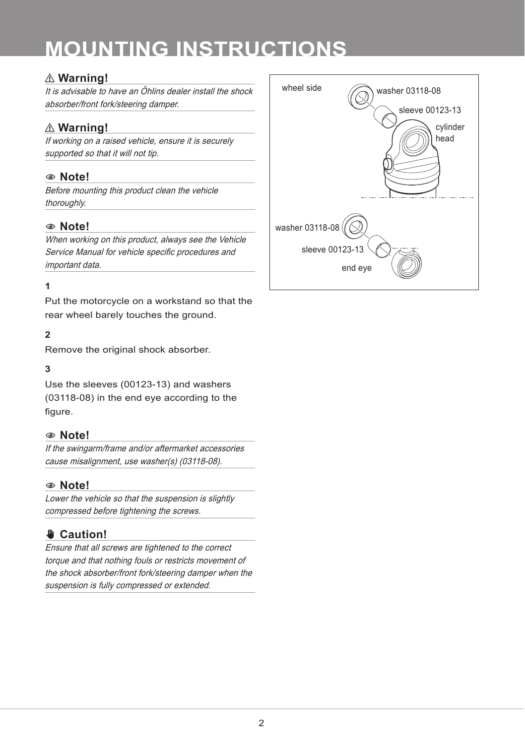# **MOUNTING INSTRUCTIONS**

### ⚠ **Warning!**

It is advisable to have an Öhlins dealer install the shock absorber/front fork/steering damper.

### ⚠ **Warning!**

If working on a raised vehicle, ensure it is securely supported so that it will not tip.

#### 1 **Note!**

Before mounting this product clean the vehicle thoroughly.

#### 1 **Note!**

When working on this product, always see the Vehicle Service Manual for vehicle specific procedures and important data.

#### **1**

Put the motorcycle on a workstand so that the rear wheel barely touches the ground.

#### **2**

Remove the original shock absorber.

#### **3**

Use the sleeves (00123-13) and washers (03118-08) in the end eye according to the figure.

#### 1 **Note!**

If the swingarm/frame and/or aftermarket accessories cause misalignment, use washer(s) (03118-08).

#### 1 **Note!**

Lower the vehicle so that the suspension is slightly compressed before tightening the screws.

### ✋**✋ Caution!**

Ensure that all screws are tightened to the correct torque and that nothing fouls or restricts movement of the shock absorber/front fork/steering damper when the suspension is fully compressed or extended.

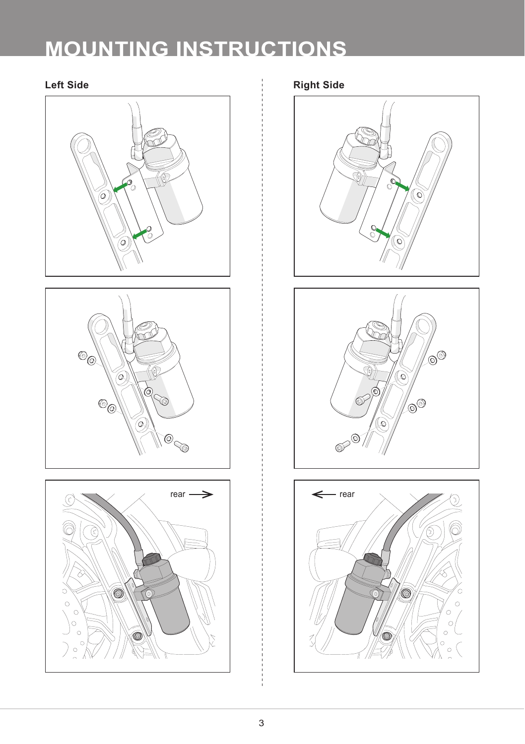# **MOUNTING INSTRUCTIONS**







**Left Side Right Side**